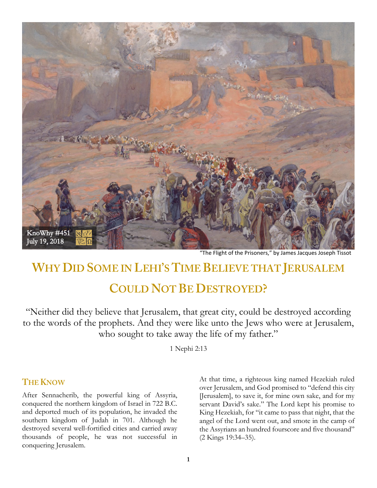

"The Flight of the Prisoners," by James Jacques Joseph Tissot

# **WHY DID SOME IN LEHI'S TIME BELIEVE THAT JERUSALEM COULD NOT BE DESTROYED?**

"Neither did they believe that Jerusalem, that great city, could be destroyed according to the words of the prophets. And they were like unto the Jews who were at Jerusalem, who sought to take away the life of my father."

1 Nephi 2:13

#### **THE KNOW**

After Sennacherib, the powerful king of Assyria, conquered the northern kingdom of Israel in 722 B.C. and deported much of its population, he invaded the southern kingdom of Judah in 701. Although he destroyed several well-fortified cities and carried away thousands of people, he was not successful in conquering Jerusalem.

At that time, a righteous king named Hezekiah ruled over Jerusalem, and God promised to "defend this city [Jerusalem], to save it, for mine own sake, and for my servant David's sake." The Lord kept his promise to King Hezekiah, for "it came to pass that night, that the angel of the Lord went out, and smote in the camp of the Assyrians an hundred fourscore and five thousand" (2 Kings 19:34–35).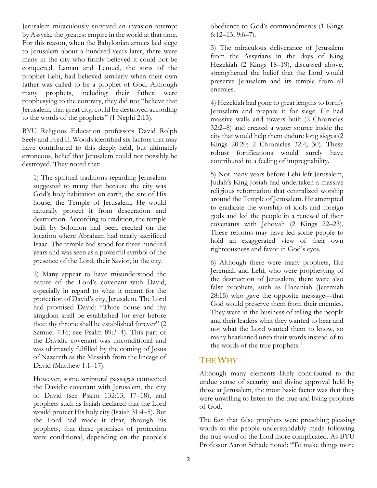Jerusalem miraculously survived an invasion attempt by Assyria, the greatest empire in the world at that time. For this reason, when the Babylonian armies laid siege to Jerusalem about a hundred years later, there were many in the city who firmly believed it could not be conquered. Laman and Lemuel, the sons of the prophet Lehi, had believed similarly when their own father was called to be a prophet of God. Although many prophets, including their father, were prophesying to the contrary, they did not "believe that Jerusalem, that great city, could be destroyed according to the words of the prophets" (1 Nephi 2:13).

BYU Religious Education professors David Rolph Seely and Fred E. Woods identified six factors that may have contributed to this deeply-held, but ultimately erroneous, belief that Jerusalem could not possibly be destroyed. They noted that:

1) The spiritual traditions regarding Jerusalem suggested to many that because the city was God's holy habitation on earth, the site of His house, the Temple of Jerusalem, He would naturally protect it from desecration and destruction. According to tradition, the temple built by Solomon had been erected on the location where Abraham had nearly sacrificed Isaac. The temple had stood for three hundred years and was seen as a powerful symbol of the presence of the Lord, their Savior, in the city.

2) Many appear to have misunderstood the nature of the Lord's covenant with David, especially in regard to what it meant for the protection of David's city, Jerusalem. The Lord had promised David: "Thine house and thy kingdom shall be established for ever before thee: thy throne shall be established forever" (2 Samuel 7:16; see Psalm 89:3–4). This part of the Davidic covenant was unconditional and was ultimately fulfilled by the coming of Jesus of Nazareth as the Messiah from the lineage of David (Matthew 1:1–17).

However, some scriptural passages connected the Davidic covenant with Jerusalem, the city of David (see Psalm 132:13, 17–18), and prophets such as Isaiah declared that the Lord would protect His holy city (Isaiah 31:4–5). But the Lord had made it clear, through his prophets, that these promises of protection were conditional, depending on the people's

obedience to God's commandments (1 Kings 6:12–13; 9:6–7).

3) The miraculous deliverance of Jerusalem from the Assyrians in the days of King Hezekiah (2 Kings 18–19), discussed above, strengthened the belief that the Lord would preserve Jerusalem and its temple from all enemies.

4) Hezekiah had gone to great lengths to fortify Jerusalem and prepare it for siege. He had massive walls and towers built (2 Chronicles 32:2–8) and created a water source inside the city that would help them endure long sieges (2 Kings 20:20; 2 Chronicles 32:4, 30). These robust fortifications would surely have contributed to a feeling of impregnability.

5) Not many years before Lehi left Jerusalem, Judah's King Josiah had undertaken a massive religious reformation that centralized worship around the Temple of Jerusalem. He attempted to eradicate the worship of idols and foreign gods and led the people in a renewal of their covenants with Jehovah (2 Kings 22–23). These reforms may have led some people to hold an exaggerated view of their own righteousness and favor in God's eyes.

6) Although there were many prophets, like Jeremiah and Lehi, who were prophesying of the destruction of Jerusalem, there were also false prophets, such as Hananiah (Jeremiah 28:15) who gave the opposite message—that God would preserve them from their enemies. They were in the business of telling the people and their leaders what they wanted to hear and not what the Lord wanted them to know, so many hearkened unto their words instead of to the words of the true prophets. $<sup>1</sup>$ </sup>

## **THE WHY**

Although many elements likely contributed to the undue sense of security and divine approval held by those at Jerusalem, the most basic factor was that they were unwilling to listen to the true and living prophets of God.

The fact that false prophets were preaching pleasing words to the people understandably made following the true word of the Lord more complicated. As BYU Professor Aaron Schade noted: "To make things more